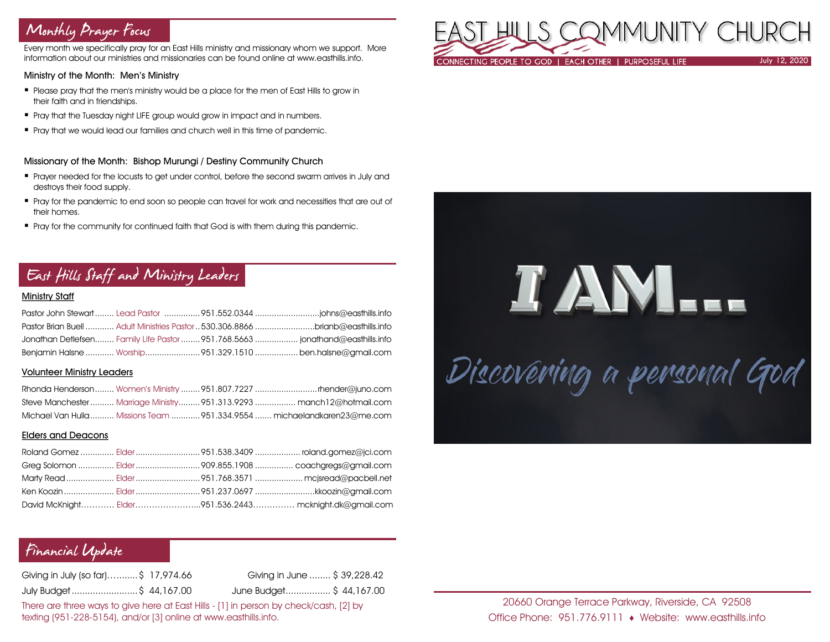# Monthly Prayer Focus

Every month we specifically pray for an East Hills ministry and missionary whom we support. More information about our ministries and missionaries can be found online at www.easthills.info.

### Ministry of the Month: Men's Ministry

- Please pray that the men's ministry would be a place for the men of East Hills to grow in their faith and in friendships.
- **•** Pray that the Tuesday night LIFE group would grow in impact and in numbers.
- **•** Pray that we would lead our families and church well in this time of pandemic.

### Missionary of the Month: Bishop Murungi / Destiny Community Church

- Prayer needed for the locusts to get under control, before the second swarm arrives in July and destroys their food supply.
- " Pray for the pandemic to end soon so people can travel for work and necessities that are out of their homes.
- **Pray for the community for continued faith that God is with them during this pandemic.**

# East Hills Staff and Ministry Leaders

## Ministry Staff

| Pastor Brian Buell  Adult Ministries Pastor  530.306.8866 brianb@easthills.info |  |
|---------------------------------------------------------------------------------|--|
| Jonathan Detlefsen Family Life Pastor  951.768.5663  jonathand@easthills.info   |  |
| Benjamin Halsne  Worship951.329.1510  ben.halsne@gmail.com                      |  |

#### Volunteer Ministry Leaders

|  | Steve Manchester  Marriage Ministry  951.313.9293  manch12@hotmail.com   |
|--|--------------------------------------------------------------------------|
|  | Michael Van Hulla  Missions Team  951.334.9554  michaelandkaren23@me.com |

#### Elders and Deacons

|  | Ken Koozin  Elder 951.237.0697 kkoozin@gmail.com       |
|--|--------------------------------------------------------|
|  | David McKnight Elder951.536.2443 mcknight.dk@gmail.com |

# Financial Update

Giving in July (so far)…........\$ 17,974.66 Giving in June ........ \$ 39,228.42 July Budget .........................\$ 44,167.00 June Budget................. \$ 44,167.00

There are three ways to give here at East Hills - [1] in person by check/cash, [2] by texting (951-228-5154), and/or [3] online at www.easthills.info.



# TANL. Discovéring a personal God

20660 Orange Terrace Parkway, Riverside, CA 92508 Office Phone: 951.776.9111 Website: www.easthills.info